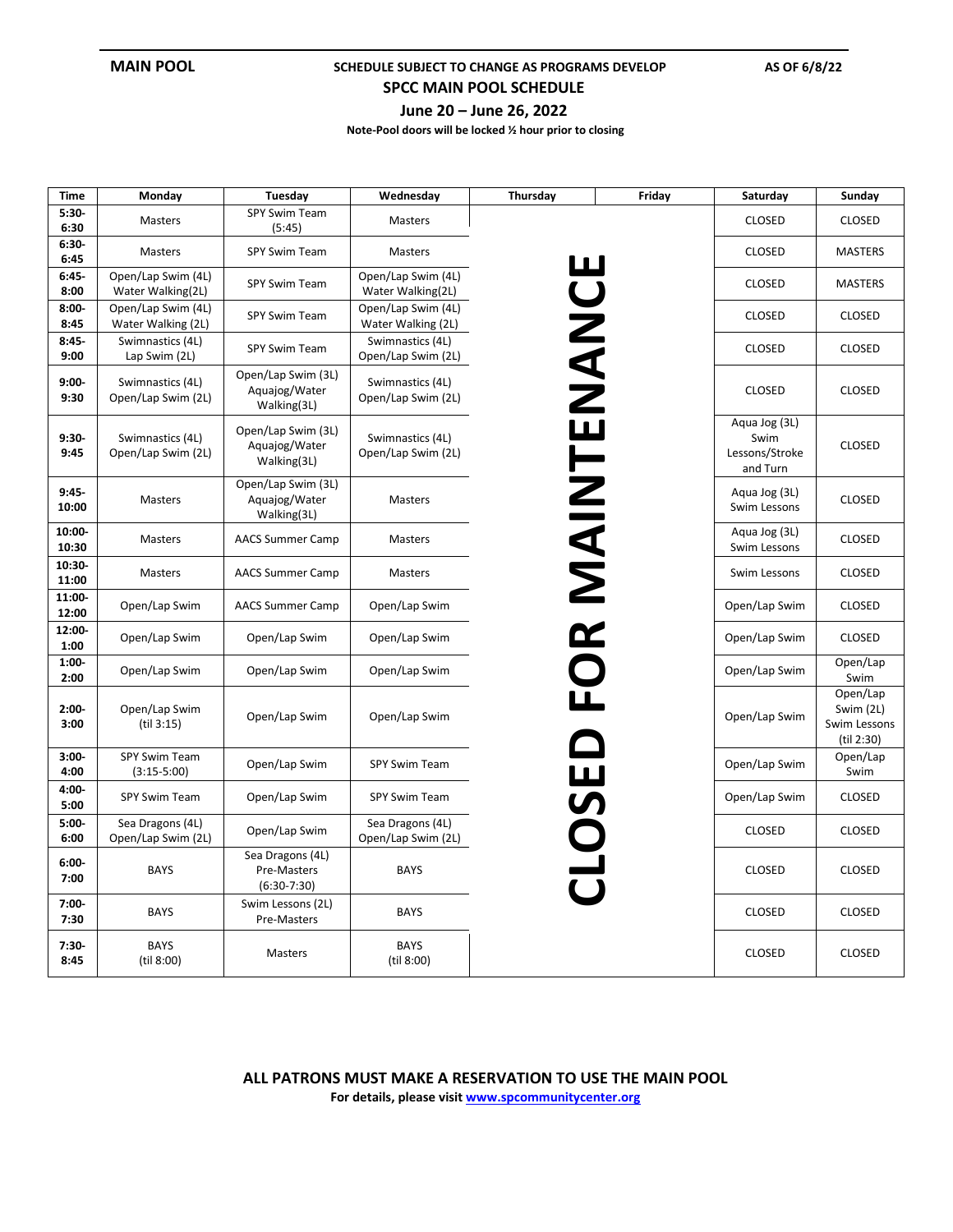## **MAIN POOL SCHEDULE SUBJECT TO CHANGE AS PROGRAMS DEVELOP** AS OF 6/8/22

**SPCC MAIN POOL SCHEDULE** 

**June 20 – June 26, 2022** 

**Note-Pool doors will be locked ½ hour prior to closing**

| Time               | Monday                                   | Tuesday                                            | Wednesday                                | Thursday                | Friday | Saturday                                            | Sunday                                              |
|--------------------|------------------------------------------|----------------------------------------------------|------------------------------------------|-------------------------|--------|-----------------------------------------------------|-----------------------------------------------------|
| $5:30-$<br>6:30    | Masters                                  | SPY Swim Team<br>(5:45)                            | Masters                                  |                         |        | <b>CLOSED</b>                                       | <b>CLOSED</b>                                       |
| $6:30-$<br>6:45    | <b>Masters</b>                           | SPY Swim Team                                      | <b>Masters</b>                           |                         |        | <b>CLOSED</b>                                       | <b>MASTERS</b>                                      |
| $6:45-$<br>8:00    | Open/Lap Swim (4L)<br>Water Walking(2L)  | SPY Swim Team                                      | Open/Lap Swim (4L)<br>Water Walking(2L)  | UU                      |        | <b>CLOSED</b>                                       | <b>MASTERS</b>                                      |
| $8:00 -$<br>8:45   | Open/Lap Swim (4L)<br>Water Walking (2L) | SPY Swim Team                                      | Open/Lap Swim (4L)<br>Water Walking (2L) |                         |        | <b>CLOSED</b>                                       | <b>CLOSED</b>                                       |
| $8:45-$<br>9:00    | Swimnastics (4L)<br>Lap Swim (2L)        | SPY Swim Team                                      | Swimnastics (4L)<br>Open/Lap Swim (2L)   |                         |        | <b>CLOSED</b>                                       | <b>CLOSED</b>                                       |
| $9:00-$<br>9:30    | Swimnastics (4L)<br>Open/Lap Swim (2L)   | Open/Lap Swim (3L)<br>Aquajog/Water<br>Walking(3L) | Swimnastics (4L)<br>Open/Lap Swim (2L)   |                         |        | <b>CLOSED</b>                                       | <b>CLOSED</b>                                       |
| $9:30-$<br>9:45    | Swimnastics (4L)<br>Open/Lap Swim (2L)   | Open/Lap Swim (3L)<br>Aquajog/Water<br>Walking(3L) | Swimnastics (4L)<br>Open/Lap Swim (2L)   | NANHZIK<br>NANHZIK      |        | Aqua Jog (3L)<br>Swim<br>Lessons/Stroke<br>and Turn | <b>CLOSED</b>                                       |
| $9:45-$<br>10:00   | Masters                                  | Open/Lap Swim (3L)<br>Aquajog/Water<br>Walking(3L) | Masters                                  |                         |        | Aqua Jog (3L)<br>Swim Lessons                       | <b>CLOSED</b>                                       |
| $10:00 -$<br>10:30 | Masters                                  | <b>AACS Summer Camp</b>                            | Masters                                  |                         |        | Aqua Jog (3L)<br>Swim Lessons                       | <b>CLOSED</b>                                       |
| $10:30 -$<br>11:00 | Masters                                  | <b>AACS Summer Camp</b>                            | Masters                                  |                         |        | Swim Lessons                                        | <b>CLOSED</b>                                       |
| 11:00-<br>12:00    | Open/Lap Swim                            | <b>AACS Summer Camp</b>                            | Open/Lap Swim                            |                         |        | Open/Lap Swim                                       | <b>CLOSED</b>                                       |
| 12:00-<br>1:00     | Open/Lap Swim                            | Open/Lap Swim                                      | Open/Lap Swim                            |                         |        | Open/Lap Swim                                       | <b>CLOSED</b>                                       |
| $1:00-$<br>2:00    | Open/Lap Swim                            | Open/Lap Swim                                      | Open/Lap Swim                            |                         |        | Open/Lap Swim                                       | Open/Lap<br>Swim                                    |
| $2:00-$<br>3:00    | Open/Lap Swim<br>(til 3:15)              | Open/Lap Swim                                      | Open/Lap Swim                            |                         |        | Open/Lap Swim                                       | Open/Lap<br>Swim (2L)<br>Swim Lessons<br>(til 2:30) |
| $3:00 -$<br>4:00   | SPY Swim Team<br>$(3:15-5:00)$           | Open/Lap Swim                                      | SPY Swim Team                            | $\overline{\mathbf{u}}$ |        | Open/Lap Swim                                       | Open/Lap<br>Swim                                    |
| $4:00 -$<br>5:00   | SPY Swim Team                            | Open/Lap Swim                                      | SPY Swim Team                            |                         |        | Open/Lap Swim                                       | <b>CLOSED</b>                                       |
| $5:00 -$<br>6:00   | Sea Dragons (4L)<br>Open/Lap Swim (2L)   | Open/Lap Swim                                      | Sea Dragons (4L)<br>Open/Lap Swim (2L)   |                         |        | <b>CLOSED</b>                                       | <b>CLOSED</b>                                       |
| $6:00-$<br>7:00    | <b>BAYS</b>                              | Sea Dragons (4L)<br>Pre-Masters<br>$(6:30-7:30)$   | <b>BAYS</b>                              |                         |        | <b>CLOSED</b>                                       | <b>CLOSED</b>                                       |
| $7:00 -$<br>7:30   | <b>BAYS</b>                              | Swim Lessons (2L)<br>Pre-Masters                   | <b>BAYS</b>                              |                         |        | CLOSED                                              | <b>CLOSED</b>                                       |
| $7:30-$<br>8:45    | <b>BAYS</b><br>(til 8:00)                | Masters                                            | <b>BAYS</b><br>(til 8:00)                |                         |        | CLOSED                                              | CLOSED                                              |

**For details, please visi[t www.spcommunitycenter.org](http://www.spcommunitycenter.org/)**